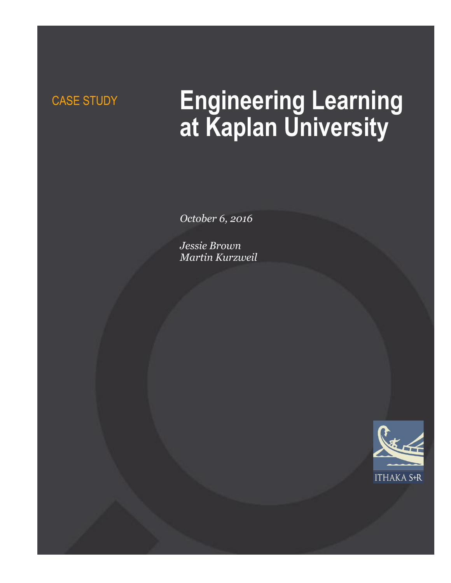# CASE STUDY **Engineering Learning at Kaplan University**

*October 6, 2016*

*Jessie Brown Martin Kurzweil*

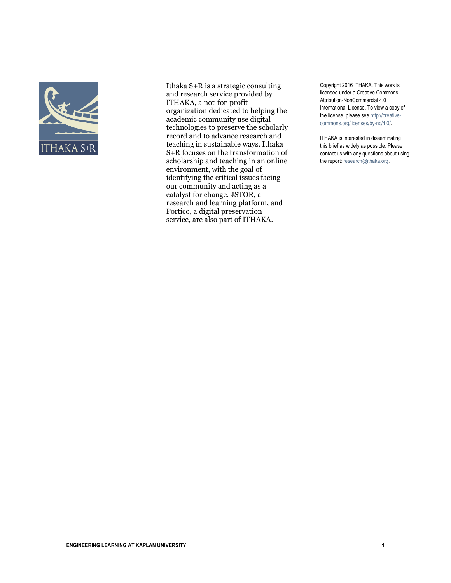

Ithaka S+R is a strategic consulting and research service provided by ITHAKA, a not-for-profit organization dedicated to helping the academic community use digital technologies to preserve the scholarly record and to advance research and teaching in sustainable ways. Ithaka S+R focuses on the transformation of scholarship and teaching in an online environment, with the goal of identifying the critical issues facing our community and acting as a catalyst for change. JSTOR, a research and learning platform, and Portico, a digital preservation service, are also part of ITHAKA.

Copyright 2016 ITHAKA. This work is licensed under a Creative Commons Attribution-NonCommercial 4.0 International License. To view a copy of the license, please see http://creativecommons.org/licenses/by-nc/4.0/.

ITHAKA is interested in disseminating this brief as widely as possible. Please contact us with any questions about using the report: research@ithaka.org.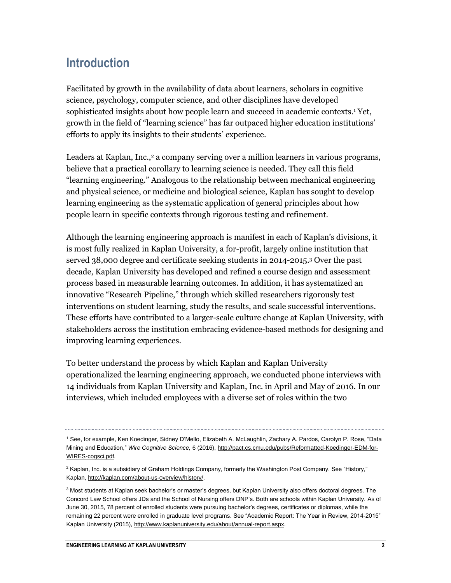## **Introduction**

Facilitated by growth in the availability of data about learners, scholars in cognitive science, psychology, computer science, and other disciplines have developed sophisticated insights about how people learn and succeed in academic contexts.<sup>1</sup> Yet, growth in the field of "learning science" has far outpaced higher education institutions' efforts to apply its insights to their students' experience.

Leaders at Kaplan, Inc.,<sup>2</sup> a company serving over a million learners in various programs, believe that a practical corollary to learning science is needed. They call this field "learning engineering." Analogous to the relationship between mechanical engineering and physical science, or medicine and biological science, Kaplan has sought to develop learning engineering as the systematic application of general principles about how people learn in specific contexts through rigorous testing and refinement.

Although the learning engineering approach is manifest in each of Kaplan's divisions, it is most fully realized in Kaplan University, a for-profit, largely online institution that served 38,000 degree and certificate seeking students in 2014-2015.<sup>3</sup> Over the past decade, Kaplan University has developed and refined a course design and assessment process based in measurable learning outcomes. In addition, it has systematized an innovative "Research Pipeline," through which skilled researchers rigorously test interventions on student learning, study the results, and scale successful interventions. These efforts have contributed to a larger-scale culture change at Kaplan University, with stakeholders across the institution embracing evidence-based methods for designing and improving learning experiences.

To better understand the process by which Kaplan and Kaplan University operationalized the learning engineering approach, we conducted phone interviews with 14 individuals from Kaplan University and Kaplan, Inc. in April and May of 2016. In our interviews, which included employees with a diverse set of roles within the two

<sup>1</sup> See, for example, Ken Koedinger, Sidney D'Mello, Elizabeth A. McLaughlin, Zachary A. Pardos, Carolyn P. Rose, "Data Mining and Education," *Wire Cognitive Science,* 6 (2016)[, http://pact.cs.cmu.edu/pubs/Reformatted-Koedinger-EDM-for-](http://pact.cs.cmu.edu/pubs/Reformatted-Koedinger-EDM-for-WIRES-cogsci.pdf)[WIRES-cogsci.pdf.](http://pact.cs.cmu.edu/pubs/Reformatted-Koedinger-EDM-for-WIRES-cogsci.pdf)

<sup>&</sup>lt;sup>2</sup> Kaplan, Inc. is a subsidiary of Graham Holdings Company, formerly the Washington Post Company. See "History," Kaplan[, http://kaplan.com/about-us-overview/history/.](http://kaplan.com/about-us-overview/history/)

<sup>&</sup>lt;sup>3</sup> Most students at Kaplan seek bachelor's or master's degrees, but Kaplan University also offers doctoral degrees. The Concord Law School offers JDs and the School of Nursing offers DNP's. Both are schools within Kaplan University. As of June 30, 2015, 78 percent of enrolled students were pursuing bachelor's degrees, certificates or diplomas, while the remaining 22 percent were enrolled in graduate level programs. See "Academic Report: The Year in Review, 2014-2015" Kaplan University (2015), [http://www.kaplanuniversity.edu/about/annual-report.aspx.](http://www.kaplanuniversity.edu/about/annual-report.aspx)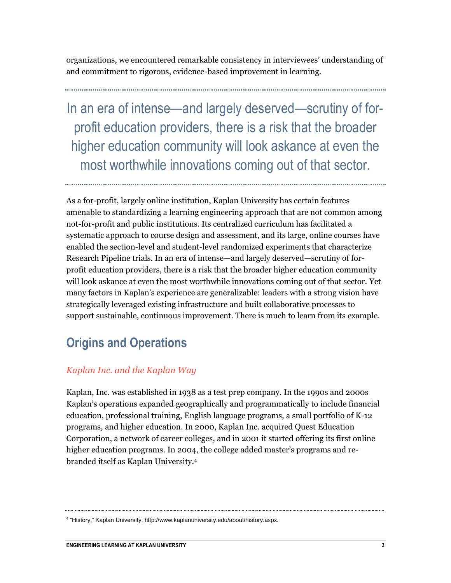organizations, we encountered remarkable consistency in interviewees' understanding of and commitment to rigorous, evidence-based improvement in learning.

In an era of intense—and largely deserved—scrutiny of forprofit education providers, there is a risk that the broader higher education community will look askance at even the most worthwhile innovations coming out of that sector.

As a for-profit, largely online institution, Kaplan University has certain features amenable to standardizing a learning engineering approach that are not common among not-for-profit and public institutions. Its centralized curriculum has facilitated a systematic approach to course design and assessment, and its large, online courses have enabled the section-level and student-level randomized experiments that characterize Research Pipeline trials. In an era of intense—and largely deserved—scrutiny of forprofit education providers, there is a risk that the broader higher education community will look askance at even the most worthwhile innovations coming out of that sector. Yet many factors in Kaplan's experience are generalizable: leaders with a strong vision have strategically leveraged existing infrastructure and built collaborative processes to support sustainable, continuous improvement. There is much to learn from its example.

## **Origins and Operations**

### *Kaplan Inc. and the Kaplan Way*

Kaplan, Inc. was established in 1938 as a test prep company. In the 1990s and 2000s Kaplan's operations expanded geographically and programmatically to include financial education, professional training, English language programs, a small portfolio of K-12 programs, and higher education. In 2000, Kaplan Inc. acquired Quest Education Corporation, a network of career colleges, and in 2001 it started offering its first online higher education programs. In 2004, the college added master's programs and rebranded itself as Kaplan University.<sup>4</sup>

<sup>&</sup>lt;sup>4</sup> "History," Kaplan University[, http://www.kaplanuniversity.edu/about/history.aspx.](http://www.kaplanuniversity.edu/about/history.aspx)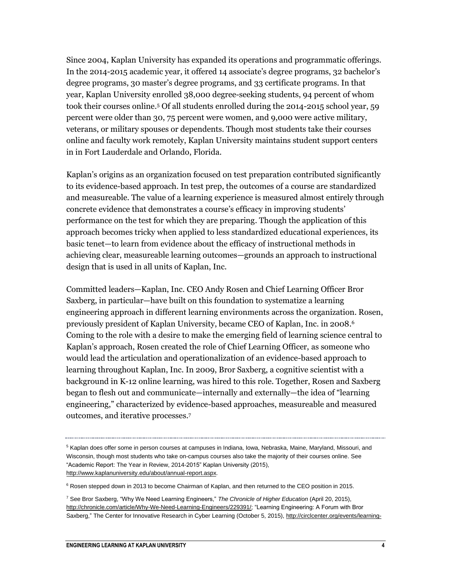Since 2004, Kaplan University has expanded its operations and programmatic offerings. In the 2014-2015 academic year, it offered 14 associate's degree programs, 32 bachelor's degree programs, 30 master's degree programs, and 33 certificate programs. In that year, Kaplan University enrolled 38,000 degree-seeking students, 94 percent of whom took their courses online.<sup>5</sup> Of all students enrolled during the 2014-2015 school year, 59 percent were older than 30, 75 percent were women, and 9,000 were active military, veterans, or military spouses or dependents. Though most students take their courses online and faculty work remotely, Kaplan University maintains student support centers in in Fort Lauderdale and Orlando, Florida.

Kaplan's origins as an organization focused on test preparation contributed significantly to its evidence-based approach. In test prep, the outcomes of a course are standardized and measureable. The value of a learning experience is measured almost entirely through concrete evidence that demonstrates a course's efficacy in improving students' performance on the test for which they are preparing. Though the application of this approach becomes tricky when applied to less standardized educational experiences, its basic tenet—to learn from evidence about the efficacy of instructional methods in achieving clear, measureable learning outcomes—grounds an approach to instructional design that is used in all units of Kaplan, Inc.

Committed leaders—Kaplan, Inc. CEO Andy Rosen and Chief Learning Officer Bror Saxberg, in particular—have built on this foundation to systematize a learning engineering approach in different learning environments across the organization. Rosen, previously president of Kaplan University, became CEO of Kaplan, Inc. in 2008.<sup>6</sup> Coming to the role with a desire to make the emerging field of learning science central to Kaplan's approach, Rosen created the role of Chief Learning Officer, as someone who would lead the articulation and operationalization of an evidence-based approach to learning throughout Kaplan, Inc. In 2009, Bror Saxberg, a cognitive scientist with a background in K-12 online learning, was hired to this role. Together, Rosen and Saxberg began to flesh out and communicate—internally and externally—the idea of "learning engineering," characterized by evidence-based approaches, measureable and measured outcomes, and iterative processes.<sup>7</sup>

<sup>&</sup>lt;sup>5</sup> Kaplan does offer some in person courses at campuses in Indiana, Iowa, Nebraska, Maine, Maryland, Missouri, and Wisconsin, though most students who take on-campus courses also take the majority of their courses online. See "Academic Report: The Year in Review, 2014-2015" Kaplan University (2015), [http://www.kaplanuniversity.edu/about/annual-report.aspx.](http://www.kaplanuniversity.edu/about/annual-report.aspx) 

<sup>&</sup>lt;sup>6</sup> Rosen stepped down in 2013 to become Chairman of Kaplan, and then returned to the CEO position in 2015.

<sup>7</sup> See Bror Saxberg, "Why We Need Learning Engineers," *The Chronicle of Higher Education* (April 20, 2015), [http://chronicle.com/article/Why-We-Need-Learning-Engineers/229391/;](http://chronicle.com/article/Why-We-Need-Learning-Engineers/229391/) "Learning Engineering: A Forum with Bror Saxberg," The Center for Innovative Research in Cyber Learning (October 5, 2015)[, http://circlcenter.org/events/learning-](http://circlcenter.org/events/learning-engineering-with-bror-saxberg/)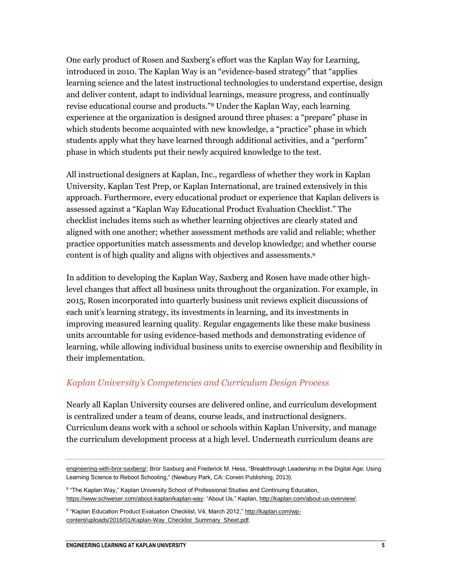One early product of Rosen and Saxberg's effort was the Kaplan Way for Learning, introduced in 2010. The Kaplan Way is an "evidence-based strategy" that "applies learning science and the latest instructional technologies to understand expertise, design and deliver content, adapt to individual learnings, measure progress, and continually revise educational course and products."8 Under the Kaplan Way, each learning experience at the organization is designed around three phases: a "prepare" phase in which students become acquainted with new knowledge, a "practice" phase in which students apply what they have learned through additional activities, and a "perform" phase in which students put their newly acquired knowledge to the test.

All instructional designers at Kaplan, Inc., regardless of whether they work in Kaplan University, Kaplan Test Prep, or Kaplan International, are trained extensively in this approach. Furthermore, every educational product or experience that Kaplan delivers is assessed against a "Kaplan Way Educational Product Evaluation Checklist." The checklist includes items such as whether learning objectives are clearly stated and aligned with one another; whether assessment methods are valid and reliable; whether practice opportunities match assessments and develop knowledge; and whether course content is of high quality and aligns with objectives and assessments.<sup>9</sup>

In addition to developing the Kaplan Way, Saxberg and Rosen have made other highlevel changes that affect all business units throughout the organization. For example, in 2015, Rosen incorporated into quarterly business unit reviews explicit discussions of each unit's learning strategy, its investments in learning, and its investments in improving measured learning quality. Regular engagements like these make business units accountable for using evidence-based methods and demonstrating evidence of learning, while allowing individual business units to exercise ownership and flexibility in their implementation.

#### *Kaplan University's Competencies and Curriculum Design Process*

Nearly all Kaplan University courses are delivered online, and curriculum development is centralized under a team of deans, course leads, and instructional designers. Curriculum deans work with a school or schools within Kaplan University, and manage the curriculum development process at a high level. Underneath curriculum deans are

[engineering-with-bror-saxberg/;](http://circlcenter.org/events/learning-engineering-with-bror-saxberg/) Bror Saxburg and Frederick M. Hess, "Breakthrough Leadership in the Digital Age: Using Learning Science to Reboot Schooling," (Newbury Park, CA: Corwin Publishing, 2013).

<sup>&</sup>lt;sup>8</sup> "The Kaplan Way," Kaplan University School of Professional Studies and Continuing Education, [https://www.schweser.com/about-kaplan/kaplan-way;](https://www.schweser.com/about-kaplan/kaplan-way) "About Us," Kaplan[, http://kaplan.com/about-us-overview/.](http://kaplan.com/about-us-overview/)

<sup>&</sup>lt;sup>9</sup> "Kaplan Education Product Evaluation Checklist, V4, March 2012," <u>http://kaplan.com/wp-</u> [content/uploads/2016/01/Kaplan-Way\\_Checklist\\_Summary\\_Sheet.pdf.](http://kaplan.com/wp-content/uploads/2016/01/Kaplan-Way_Checklist_Summary_Sheet.pdf)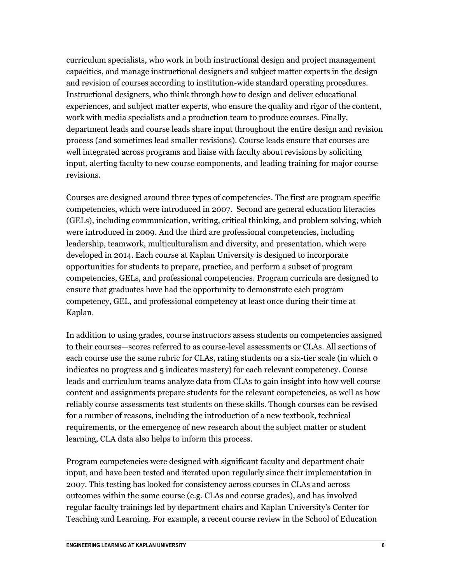curriculum specialists, who work in both instructional design and project management capacities, and manage instructional designers and subject matter experts in the design and revision of courses according to institution-wide standard operating procedures. Instructional designers, who think through how to design and deliver educational experiences, and subject matter experts, who ensure the quality and rigor of the content, work with media specialists and a production team to produce courses. Finally, department leads and course leads share input throughout the entire design and revision process (and sometimes lead smaller revisions). Course leads ensure that courses are well integrated across programs and liaise with faculty about revisions by soliciting input, alerting faculty to new course components, and leading training for major course revisions.

Courses are designed around three types of competencies. The first are program specific competencies, which were introduced in 2007. Second are general education literacies (GELs), including communication, writing, critical thinking, and problem solving, which were introduced in 2009. And the third are professional competencies, including leadership, teamwork, multiculturalism and diversity, and presentation, which were developed in 2014. Each course at Kaplan University is designed to incorporate opportunities for students to prepare, practice, and perform a subset of program competencies, GELs, and professional competencies. Program curricula are designed to ensure that graduates have had the opportunity to demonstrate each program competency, GEL, and professional competency at least once during their time at Kaplan.

In addition to using grades, course instructors assess students on competencies assigned to their courses—scores referred to as course-level assessments or CLAs. All sections of each course use the same rubric for CLAs, rating students on a six-tier scale (in which 0 indicates no progress and 5 indicates mastery) for each relevant competency. Course leads and curriculum teams analyze data from CLAs to gain insight into how well course content and assignments prepare students for the relevant competencies, as well as how reliably course assessments test students on these skills. Though courses can be revised for a number of reasons, including the introduction of a new textbook, technical requirements, or the emergence of new research about the subject matter or student learning, CLA data also helps to inform this process.

Program competencies were designed with significant faculty and department chair input, and have been tested and iterated upon regularly since their implementation in 2007. This testing has looked for consistency across courses in CLAs and across outcomes within the same course (e.g. CLAs and course grades), and has involved regular faculty trainings led by department chairs and Kaplan University's Center for Teaching and Learning. For example, a recent course review in the School of Education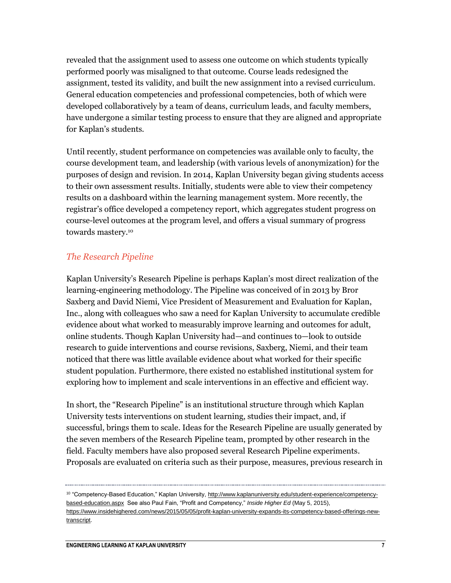revealed that the assignment used to assess one outcome on which students typically performed poorly was misaligned to that outcome. Course leads redesigned the assignment, tested its validity, and built the new assignment into a revised curriculum. General education competencies and professional competencies, both of which were developed collaboratively by a team of deans, curriculum leads, and faculty members, have undergone a similar testing process to ensure that they are aligned and appropriate for Kaplan's students.

Until recently, student performance on competencies was available only to faculty, the course development team, and leadership (with various levels of anonymization) for the purposes of design and revision. In 2014, Kaplan University began giving students access to their own assessment results. Initially, students were able to view their competency results on a dashboard within the learning management system. More recently, the registrar's office developed a competency report, which aggregates student progress on course-level outcomes at the program level, and offers a visual summary of progress towards mastery.<sup>10</sup>

#### *The Research Pipeline*

Kaplan University's Research Pipeline is perhaps Kaplan's most direct realization of the learning-engineering methodology. The Pipeline was conceived of in 2013 by Bror Saxberg and David Niemi, Vice President of Measurement and Evaluation for Kaplan, Inc., along with colleagues who saw a need for Kaplan University to accumulate credible evidence about what worked to measurably improve learning and outcomes for adult, online students. Though Kaplan University had—and continues to—look to outside research to guide interventions and course revisions, Saxberg, Niemi, and their team noticed that there was little available evidence about what worked for their specific student population. Furthermore, there existed no established institutional system for exploring how to implement and scale interventions in an effective and efficient way.

In short, the "Research Pipeline" is an institutional structure through which Kaplan University tests interventions on student learning, studies their impact, and, if successful, brings them to scale. Ideas for the Research Pipeline are usually generated by the seven members of the Research Pipeline team, prompted by other research in the field. Faculty members have also proposed several Research Pipeline experiments. Proposals are evaluated on criteria such as their purpose, measures, previous research in

<sup>&</sup>lt;sup>10</sup> "Competency-Based Education," Kaplan University[, http://www.kaplanuniversity.edu/student-experience/competency](http://www.kaplanuniversity.edu/student-experience/competency-based-education.aspx)[based-education.aspx](http://www.kaplanuniversity.edu/student-experience/competency-based-education.aspx) See also Paul Fain, "Profit and Competency," *Inside Higher Ed* (May 5, 2015), [https://www.insidehighered.com/news/2015/05/05/profit-kaplan-university-expands-its-competency-based-offerings-new](https://www.insidehighered.com/news/2015/05/05/profit-kaplan-university-expands-its-competency-based-offerings-new-transcript)[transcript.](https://www.insidehighered.com/news/2015/05/05/profit-kaplan-university-expands-its-competency-based-offerings-new-transcript)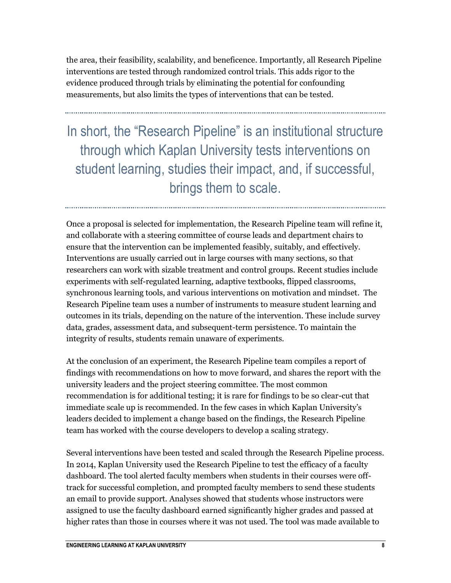the area, their feasibility, scalability, and beneficence. Importantly, all Research Pipeline interventions are tested through randomized control trials. This adds rigor to the evidence produced through trials by eliminating the potential for confounding measurements, but also limits the types of interventions that can be tested.

In short, the "Research Pipeline" is an institutional structure through which Kaplan University tests interventions on student learning, studies their impact, and, if successful, brings them to scale.

Once a proposal is selected for implementation, the Research Pipeline team will refine it, and collaborate with a steering committee of course leads and department chairs to ensure that the intervention can be implemented feasibly, suitably, and effectively. Interventions are usually carried out in large courses with many sections, so that researchers can work with sizable treatment and control groups. Recent studies include experiments with self-regulated learning, adaptive textbooks, flipped classrooms, synchronous learning tools, and various interventions on motivation and mindset. The Research Pipeline team uses a number of instruments to measure student learning and outcomes in its trials, depending on the nature of the intervention. These include survey data, grades, assessment data, and subsequent-term persistence. To maintain the integrity of results, students remain unaware of experiments.

At the conclusion of an experiment, the Research Pipeline team compiles a report of findings with recommendations on how to move forward, and shares the report with the university leaders and the project steering committee. The most common recommendation is for additional testing; it is rare for findings to be so clear-cut that immediate scale up is recommended. In the few cases in which Kaplan University's leaders decided to implement a change based on the findings, the Research Pipeline team has worked with the course developers to develop a scaling strategy.

Several interventions have been tested and scaled through the Research Pipeline process. In 2014, Kaplan University used the Research Pipeline to test the efficacy of a faculty dashboard. The tool alerted faculty members when students in their courses were offtrack for successful completion, and prompted faculty members to send these students an email to provide support. Analyses showed that students whose instructors were assigned to use the faculty dashboard earned significantly higher grades and passed at higher rates than those in courses where it was not used. The tool was made available to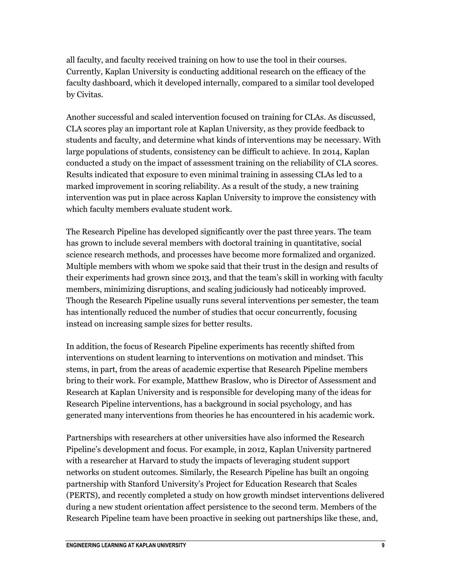all faculty, and faculty received training on how to use the tool in their courses. Currently, Kaplan University is conducting additional research on the efficacy of the faculty dashboard, which it developed internally, compared to a similar tool developed by Civitas.

Another successful and scaled intervention focused on training for CLAs. As discussed, CLA scores play an important role at Kaplan University, as they provide feedback to students and faculty, and determine what kinds of interventions may be necessary. With large populations of students, consistency can be difficult to achieve. In 2014, Kaplan conducted a study on the impact of assessment training on the reliability of CLA scores. Results indicated that exposure to even minimal training in assessing CLAs led to a marked improvement in scoring reliability. As a result of the study, a new training intervention was put in place across Kaplan University to improve the consistency with which faculty members evaluate student work.

The Research Pipeline has developed significantly over the past three years. The team has grown to include several members with doctoral training in quantitative, social science research methods, and processes have become more formalized and organized. Multiple members with whom we spoke said that their trust in the design and results of their experiments had grown since 2013, and that the team's skill in working with faculty members, minimizing disruptions, and scaling judiciously had noticeably improved. Though the Research Pipeline usually runs several interventions per semester, the team has intentionally reduced the number of studies that occur concurrently, focusing instead on increasing sample sizes for better results.

In addition, the focus of Research Pipeline experiments has recently shifted from interventions on student learning to interventions on motivation and mindset. This stems, in part, from the areas of academic expertise that Research Pipeline members bring to their work. For example, Matthew Braslow, who is Director of Assessment and Research at Kaplan University and is responsible for developing many of the ideas for Research Pipeline interventions, has a background in social psychology, and has generated many interventions from theories he has encountered in his academic work.

Partnerships with researchers at other universities have also informed the Research Pipeline's development and focus. For example, in 2012, Kaplan University partnered with a researcher at Harvard to study the impacts of leveraging student support networks on student outcomes. Similarly, the Research Pipeline has built an ongoing partnership with Stanford University's Project for Education Research that Scales (PERTS), and recently completed a study on how growth mindset interventions delivered during a new student orientation affect persistence to the second term. Members of the Research Pipeline team have been proactive in seeking out partnerships like these, and,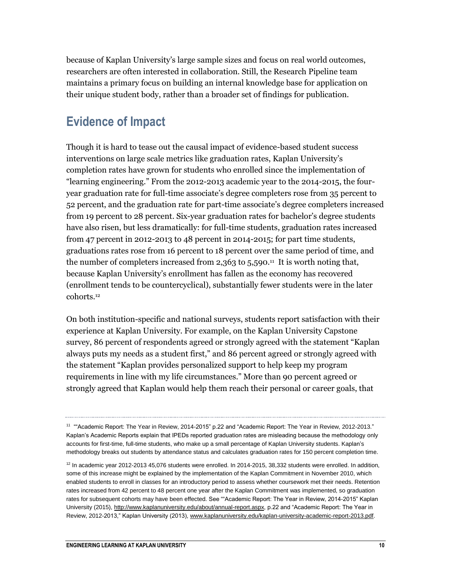because of Kaplan University's large sample sizes and focus on real world outcomes, researchers are often interested in collaboration. Still, the Research Pipeline team maintains a primary focus on building an internal knowledge base for application on their unique student body, rather than a broader set of findings for publication.

## **Evidence of Impact**

Though it is hard to tease out the causal impact of evidence-based student success interventions on large scale metrics like graduation rates, Kaplan University's completion rates have grown for students who enrolled since the implementation of "learning engineering." From the 2012-2013 academic year to the 2014-2015, the fouryear graduation rate for full-time associate's degree completers rose from 35 percent to 52 percent, and the graduation rate for part-time associate's degree completers increased from 19 percent to 28 percent. Six-year graduation rates for bachelor's degree students have also risen, but less dramatically: for full-time students, graduation rates increased from 47 percent in 2012-2013 to 48 percent in 2014-2015; for part time students, graduations rates rose from 16 percent to 18 percent over the same period of time, and the number of completers increased from 2,363 to 5,590.<sup>11</sup> It is worth noting that, because Kaplan University's enrollment has fallen as the economy has recovered (enrollment tends to be countercyclical), substantially fewer students were in the later cohorts.<sup>12</sup>

On both institution-specific and national surveys, students report satisfaction with their experience at Kaplan University. For example, on the Kaplan University Capstone survey, 86 percent of respondents agreed or strongly agreed with the statement "Kaplan always puts my needs as a student first," and 86 percent agreed or strongly agreed with the statement "Kaplan provides personalized support to help keep my program requirements in line with my life circumstances." More than 90 percent agreed or strongly agreed that Kaplan would help them reach their personal or career goals, that

<sup>&</sup>lt;sup>11</sup> ""Academic Report: The Year in Review, 2014-2015" p.22 and "Academic Report: The Year in Review, 2012-2013." Kaplan's Academic Reports explain that IPEDs reported graduation rates are misleading because the methodology only accounts for first-time, full-time students, who make up a small percentage of Kaplan University students. Kaplan's methodology breaks out students by attendance status and calculates graduation rates for 150 percent completion time.

 $12$  In academic year 2012-2013 45,076 students were enrolled. In 2014-2015, 38,332 students were enrolled. In addition, some of this increase might be explained by the implementation of the Kaplan Commitment in November 2010, which enabled students to enroll in classes for an introductory period to assess whether coursework met their needs. Retention rates increased from 42 percent to 48 percent one year after the Kaplan Commitment was implemented, so graduation rates for subsequent cohorts may have been effected. See ""Academic Report: The Year in Review, 2014-2015" Kaplan University (2015), [http://www.kaplanuniversity.edu/about/annual-report.aspx,](http://www.kaplanuniversity.edu/about/annual-report.aspx) p.22 and "Academic Report: The Year in Review, 2012-2013," Kaplan University (2013), [www.kaplanuniversity.edu/kaplan-university-academic-report-2013.pdf.](http://www.kaplanuniversity.edu/kaplan-university-academic-report-2013.pdf)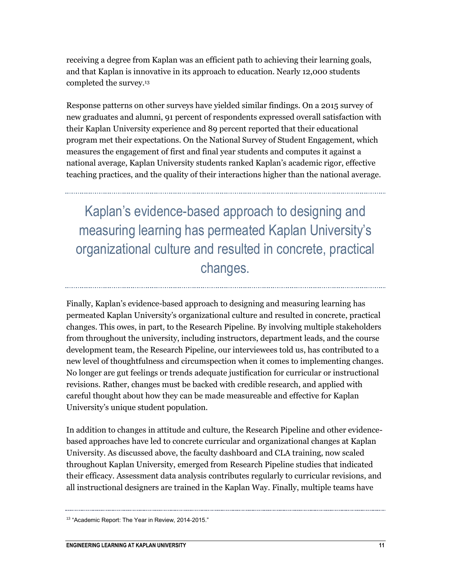receiving a degree from Kaplan was an efficient path to achieving their learning goals, and that Kaplan is innovative in its approach to education. Nearly 12,000 students completed the survey.<sup>13</sup>

Response patterns on other surveys have yielded similar findings. On a 2015 survey of new graduates and alumni, 91 percent of respondents expressed overall satisfaction with their Kaplan University experience and 89 percent reported that their educational program met their expectations. On the National Survey of Student Engagement, which measures the engagement of first and final year students and computes it against a national average, Kaplan University students ranked Kaplan's academic rigor, effective teaching practices, and the quality of their interactions higher than the national average.

Kaplan's evidence-based approach to designing and measuring learning has permeated Kaplan University's organizational culture and resulted in concrete, practical changes.

Finally, Kaplan's evidence-based approach to designing and measuring learning has permeated Kaplan University's organizational culture and resulted in concrete, practical changes. This owes, in part, to the Research Pipeline. By involving multiple stakeholders from throughout the university, including instructors, department leads, and the course development team, the Research Pipeline, our interviewees told us, has contributed to a new level of thoughtfulness and circumspection when it comes to implementing changes. No longer are gut feelings or trends adequate justification for curricular or instructional revisions. Rather, changes must be backed with credible research, and applied with careful thought about how they can be made measureable and effective for Kaplan University's unique student population.

In addition to changes in attitude and culture, the Research Pipeline and other evidencebased approaches have led to concrete curricular and organizational changes at Kaplan University. As discussed above, the faculty dashboard and CLA training, now scaled throughout Kaplan University, emerged from Research Pipeline studies that indicated their efficacy. Assessment data analysis contributes regularly to curricular revisions, and all instructional designers are trained in the Kaplan Way. Finally, multiple teams have

<sup>&</sup>lt;sup>13</sup> "Academic Report: The Year in Review, 2014-2015."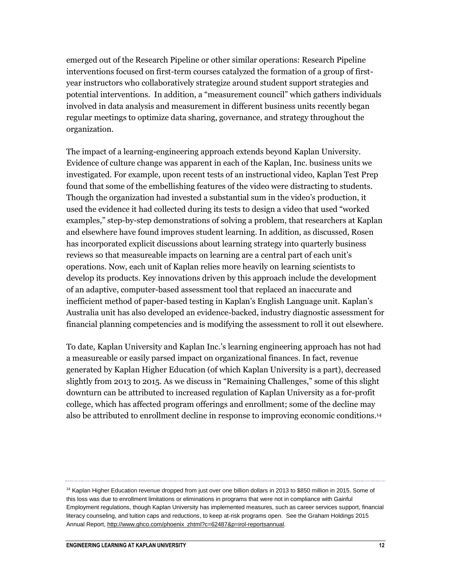emerged out of the Research Pipeline or other similar operations: Research Pipeline interventions focused on first-term courses catalyzed the formation of a group of firstyear instructors who collaboratively strategize around student support strategies and potential interventions. In addition, a "measurement council" which gathers individuals involved in data analysis and measurement in different business units recently began regular meetings to optimize data sharing, governance, and strategy throughout the organization.

The impact of a learning-engineering approach extends beyond Kaplan University. Evidence of culture change was apparent in each of the Kaplan, Inc. business units we investigated. For example, upon recent tests of an instructional video, Kaplan Test Prep found that some of the embellishing features of the video were distracting to students. Though the organization had invested a substantial sum in the video's production, it used the evidence it had collected during its tests to design a video that used "worked examples," step-by-step demonstrations of solving a problem, that researchers at Kaplan and elsewhere have found improves student learning. In addition, as discussed, Rosen has incorporated explicit discussions about learning strategy into quarterly business reviews so that measureable impacts on learning are a central part of each unit's operations. Now, each unit of Kaplan relies more heavily on learning scientists to develop its products. Key innovations driven by this approach include the development of an adaptive, computer-based assessment tool that replaced an inaccurate and inefficient method of paper-based testing in Kaplan's English Language unit. Kaplan's Australia unit has also developed an evidence-backed, industry diagnostic assessment for financial planning competencies and is modifying the assessment to roll it out elsewhere.

To date, Kaplan University and Kaplan Inc.'s learning engineering approach has not had a measureable or easily parsed impact on organizational finances. In fact, revenue generated by Kaplan Higher Education (of which Kaplan University is a part), decreased slightly from 2013 to 2015. As we discuss in "Remaining Challenges," some of this slight downturn can be attributed to increased regulation of Kaplan University as a for-profit college, which has affected program offerings and enrollment; some of the decline may also be attributed to enrollment decline in response to improving economic conditions.<sup>14</sup>

<sup>&</sup>lt;sup>14</sup> Kaplan Higher Education revenue dropped from just over one billion dollars in 2013 to \$850 million in 2015. Some of this loss was due to enrollment limitations or eliminations in programs that were not in compliance with Gainful Employment regulations, though Kaplan University has implemented measures, such as career services support, financial literacy counseling, and tuition caps and reductions, to keep at-risk programs open. See the Graham Holdings 2015 Annual Report[, http://www.ghco.com/phoenix\\_zhtml?c=62487&p=irol-reportsannual.](http://www.ghco.com/phoenix_zhtml?c=62487&p=irol-reportsannual)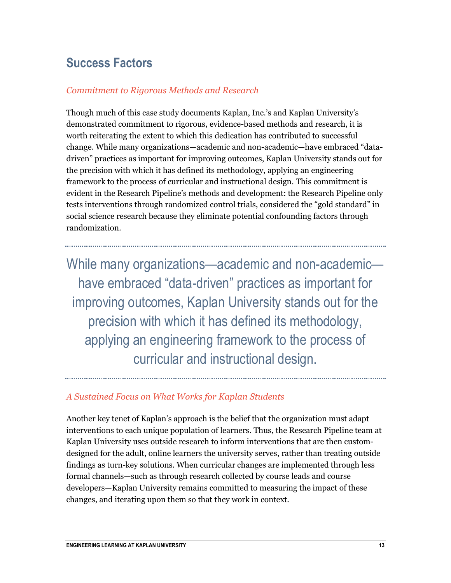## **Success Factors**

#### *Commitment to Rigorous Methods and Research*

Though much of this case study documents Kaplan, Inc.'s and Kaplan University's demonstrated commitment to rigorous, evidence-based methods and research, it is worth reiterating the extent to which this dedication has contributed to successful change. While many organizations—academic and non-academic—have embraced "datadriven" practices as important for improving outcomes, Kaplan University stands out for the precision with which it has defined its methodology, applying an engineering framework to the process of curricular and instructional design. This commitment is evident in the Research Pipeline's methods and development: the Research Pipeline only tests interventions through randomized control trials, considered the "gold standard" in social science research because they eliminate potential confounding factors through randomization.

While many organizations—academic and non-academic have embraced "data-driven" practices as important for improving outcomes, Kaplan University stands out for the precision with which it has defined its methodology, applying an engineering framework to the process of curricular and instructional design.

#### *A Sustained Focus on What Works for Kaplan Students*

Another key tenet of Kaplan's approach is the belief that the organization must adapt interventions to each unique population of learners. Thus, the Research Pipeline team at Kaplan University uses outside research to inform interventions that are then customdesigned for the adult, online learners the university serves, rather than treating outside findings as turn-key solutions. When curricular changes are implemented through less formal channels—such as through research collected by course leads and course developers—Kaplan University remains committed to measuring the impact of these changes, and iterating upon them so that they work in context.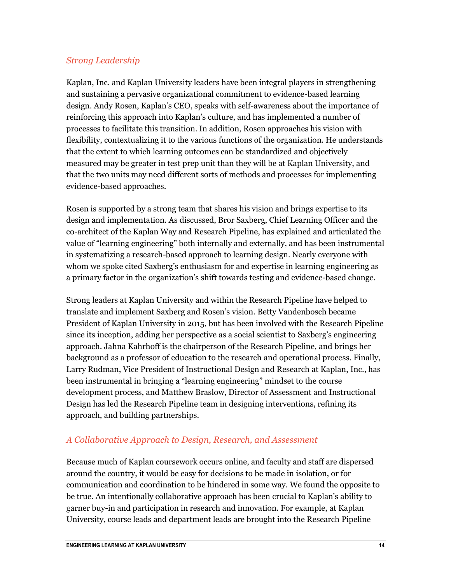#### *Strong Leadership*

Kaplan, Inc. and Kaplan University leaders have been integral players in strengthening and sustaining a pervasive organizational commitment to evidence-based learning design. Andy Rosen, Kaplan's CEO, speaks with self-awareness about the importance of reinforcing this approach into Kaplan's culture, and has implemented a number of processes to facilitate this transition. In addition, Rosen approaches his vision with flexibility, contextualizing it to the various functions of the organization. He understands that the extent to which learning outcomes can be standardized and objectively measured may be greater in test prep unit than they will be at Kaplan University, and that the two units may need different sorts of methods and processes for implementing evidence-based approaches.

Rosen is supported by a strong team that shares his vision and brings expertise to its design and implementation. As discussed, Bror Saxberg, Chief Learning Officer and the co-architect of the Kaplan Way and Research Pipeline, has explained and articulated the value of "learning engineering" both internally and externally, and has been instrumental in systematizing a research-based approach to learning design. Nearly everyone with whom we spoke cited Saxberg's enthusiasm for and expertise in learning engineering as a primary factor in the organization's shift towards testing and evidence-based change.

Strong leaders at Kaplan University and within the Research Pipeline have helped to translate and implement Saxberg and Rosen's vision. Betty Vandenbosch became President of Kaplan University in 2015, but has been involved with the Research Pipeline since its inception, adding her perspective as a social scientist to Saxberg's engineering approach. Jahna Kahrhoff is the chairperson of the Research Pipeline, and brings her background as a professor of education to the research and operational process. Finally, Larry Rudman, Vice President of Instructional Design and Research at Kaplan, Inc., has been instrumental in bringing a "learning engineering" mindset to the course development process, and Matthew Braslow, Director of Assessment and Instructional Design has led the Research Pipeline team in designing interventions, refining its approach, and building partnerships.

#### *A Collaborative Approach to Design, Research, and Assessment*

Because much of Kaplan coursework occurs online, and faculty and staff are dispersed around the country, it would be easy for decisions to be made in isolation, or for communication and coordination to be hindered in some way. We found the opposite to be true. An intentionally collaborative approach has been crucial to Kaplan's ability to garner buy-in and participation in research and innovation. For example, at Kaplan University, course leads and department leads are brought into the Research Pipeline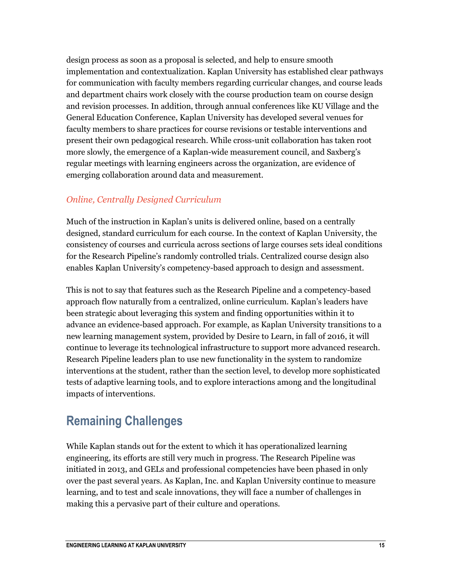design process as soon as a proposal is selected, and help to ensure smooth implementation and contextualization. Kaplan University has established clear pathways for communication with faculty members regarding curricular changes, and course leads and department chairs work closely with the course production team on course design and revision processes. In addition, through annual conferences like KU Village and the General Education Conference, Kaplan University has developed several venues for faculty members to share practices for course revisions or testable interventions and present their own pedagogical research. While cross-unit collaboration has taken root more slowly, the emergence of a Kaplan-wide measurement council, and Saxberg's regular meetings with learning engineers across the organization, are evidence of emerging collaboration around data and measurement.

#### *Online, Centrally Designed Curriculum*

Much of the instruction in Kaplan's units is delivered online, based on a centrally designed, standard curriculum for each course. In the context of Kaplan University, the consistency of courses and curricula across sections of large courses sets ideal conditions for the Research Pipeline's randomly controlled trials. Centralized course design also enables Kaplan University's competency-based approach to design and assessment.

This is not to say that features such as the Research Pipeline and a competency-based approach flow naturally from a centralized, online curriculum. Kaplan's leaders have been strategic about leveraging this system and finding opportunities within it to advance an evidence-based approach. For example, as Kaplan University transitions to a new learning management system, provided by Desire to Learn, in fall of 2016, it will continue to leverage its technological infrastructure to support more advanced research. Research Pipeline leaders plan to use new functionality in the system to randomize interventions at the student, rather than the section level, to develop more sophisticated tests of adaptive learning tools, and to explore interactions among and the longitudinal impacts of interventions.

## **Remaining Challenges**

While Kaplan stands out for the extent to which it has operationalized learning engineering, its efforts are still very much in progress. The Research Pipeline was initiated in 2013, and GELs and professional competencies have been phased in only over the past several years. As Kaplan, Inc. and Kaplan University continue to measure learning, and to test and scale innovations, they will face a number of challenges in making this a pervasive part of their culture and operations.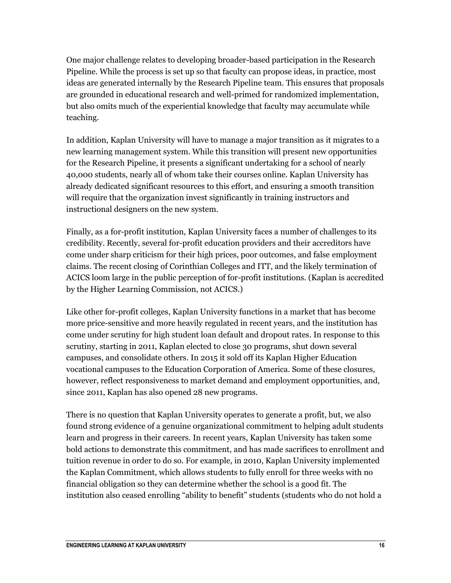One major challenge relates to developing broader-based participation in the Research Pipeline. While the process is set up so that faculty can propose ideas, in practice, most ideas are generated internally by the Research Pipeline team. This ensures that proposals are grounded in educational research and well-primed for randomized implementation, but also omits much of the experiential knowledge that faculty may accumulate while teaching.

In addition, Kaplan University will have to manage a major transition as it migrates to a new learning management system. While this transition will present new opportunities for the Research Pipeline, it presents a significant undertaking for a school of nearly 40,000 students, nearly all of whom take their courses online. Kaplan University has already dedicated significant resources to this effort, and ensuring a smooth transition will require that the organization invest significantly in training instructors and instructional designers on the new system.

Finally, as a for-profit institution, Kaplan University faces a number of challenges to its credibility. Recently, several for-profit education providers and their accreditors have come under sharp criticism for their high prices, poor outcomes, and false employment claims. The recent closing of Corinthian Colleges and ITT, and the likely termination of ACICS loom large in the public perception of for-profit institutions. (Kaplan is accredited by the Higher Learning Commission, not ACICS.)

Like other for-profit colleges, Kaplan University functions in a market that has become more price-sensitive and more heavily regulated in recent years, and the institution has come under scrutiny for high student loan default and dropout rates. In response to this scrutiny, starting in 2011, Kaplan elected to close 30 programs, shut down several campuses, and consolidate others. In 2015 it sold off its Kaplan Higher Education vocational campuses to the Education Corporation of America. Some of these closures, however, reflect responsiveness to market demand and employment opportunities, and, since 2011, Kaplan has also opened 28 new programs.

There is no question that Kaplan University operates to generate a profit, but, we also found strong evidence of a genuine organizational commitment to helping adult students learn and progress in their careers. In recent years, Kaplan University has taken some bold actions to demonstrate this commitment, and has made sacrifices to enrollment and tuition revenue in order to do so. For example, in 2010, Kaplan University implemented the Kaplan Commitment, which allows students to fully enroll for three weeks with no financial obligation so they can determine whether the school is a good fit. The institution also ceased enrolling "ability to benefit" students (students who do not hold a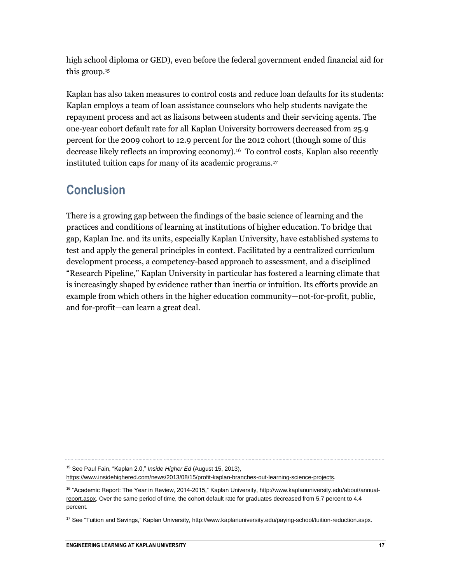high school diploma or GED), even before the federal government ended financial aid for this group.<sup>15</sup>

Kaplan has also taken measures to control costs and reduce loan defaults for its students: Kaplan employs a team of loan assistance counselors who help students navigate the repayment process and act as liaisons between students and their servicing agents. The one-year cohort default rate for all Kaplan University borrowers decreased from 25.9 percent for the 2009 cohort to 12.9 percent for the 2012 cohort (though some of this decrease likely reflects an improving economy).16 To control costs, Kaplan also recently instituted tuition caps for many of its academic programs.<sup>17</sup>

## **Conclusion**

There is a growing gap between the findings of the basic science of learning and the practices and conditions of learning at institutions of higher education. To bridge that gap, Kaplan Inc. and its units, especially Kaplan University, have established systems to test and apply the general principles in context. Facilitated by a centralized curriculum development process, a competency-based approach to assessment, and a disciplined "Research Pipeline," Kaplan University in particular has fostered a learning climate that is increasingly shaped by evidence rather than inertia or intuition. Its efforts provide an example from which others in the higher education community—not-for-profit, public, and for-profit—can learn a great deal.

<sup>15</sup> See Paul Fain, "Kaplan 2.0," *Inside Higher Ed* (August 15, 2013),

[https://www.insidehighered.com/news/2013/08/15/profit-kaplan-branches-out-learning-science-projects.](https://www.insidehighered.com/news/2013/08/15/profit-kaplan-branches-out-learning-science-projects) 

<sup>&</sup>lt;sup>16</sup> "Academic Report: The Year in Review, 2014-2015," Kaplan University[, http://www.kaplanuniversity.edu/about/annual](http://www.kaplanuniversity.edu/about/annual-report.aspx)[report.aspx.](http://www.kaplanuniversity.edu/about/annual-report.aspx) Over the same period of time, the cohort default rate for graduates decreased from 5.7 percent to 4.4 percent.

<sup>&</sup>lt;sup>17</sup> See "Tuition and Savings," Kaplan University, http://www.kaplanuniversity.edu/paying-school/tuition-reduction.aspx.